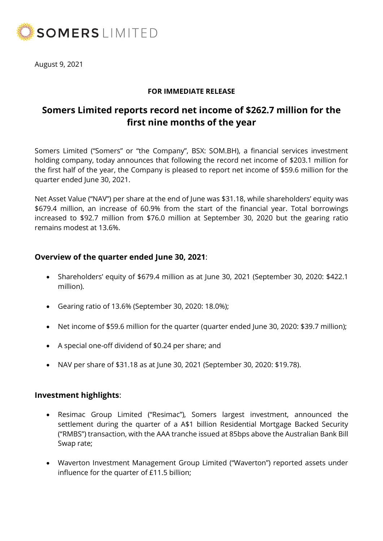

August 9, 2021

## **FOR IMMEDIATE RELEASE**

# **Somers Limited reports record net income of \$262.7 million for the first nine months of the year**

Somers Limited ("Somers" or "the Company", BSX: SOM.BH), a financial services investment holding company, today announces that following the record net income of \$203.1 million for the first half of the year, the Company is pleased to report net income of \$59.6 million for the quarter ended June 30, 2021.

Net Asset Value ("NAV") per share at the end of June was \$31.18, while shareholders' equity was \$679.4 million, an increase of 60.9% from the start of the financial year. Total borrowings increased to \$92.7 million from \$76.0 million at September 30, 2020 but the gearing ratio remains modest at 13.6%.

## **Overview of the quarter ended June 30, 2021**:

- Shareholders' equity of \$679.4 million as at June 30, 2021 (September 30, 2020: \$422.1 million).
- Gearing ratio of 13.6% (September 30, 2020: 18.0%);
- Net income of \$59.6 million for the quarter (quarter ended June 30, 2020: \$39.7 million);
- A special one-off dividend of \$0.24 per share; and
- NAV per share of \$31.18 as at June 30, 2021 (September 30, 2020: \$19.78).

#### **Investment highlights**:

- Resimac Group Limited ("Resimac"), Somers largest investment, announced the settlement during the quarter of a A\$1 billion Residential Mortgage Backed Security ("RMBS") transaction, with the AAA tranche issued at 85bps above the Australian Bank Bill Swap rate;
- Waverton Investment Management Group Limited ("Waverton") reported assets under influence for the quarter of £11.5 billion;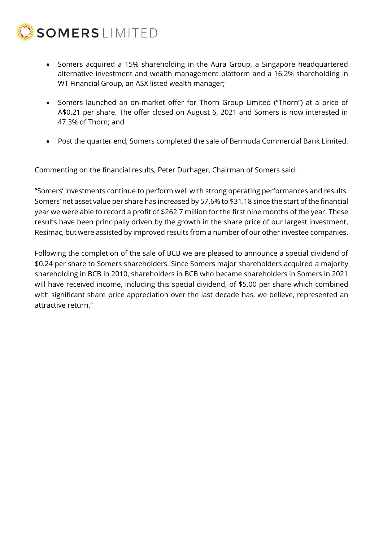

- Somers acquired a 15% shareholding in the Aura Group, a Singapore headquartered alternative investment and wealth management platform and a 16.2% shareholding in WT Financial Group, an ASX listed wealth manager;
- Somers launched an on-market offer for Thorn Group Limited ("Thorn") at a price of A\$0.21 per share. The offer closed on August 6, 2021 and Somers is now interested in 47.3% of Thorn; and
- Post the quarter end, Somers completed the sale of Bermuda Commercial Bank Limited.

Commenting on the financial results, Peter Durhager, Chairman of Somers said:

"Somers' investments continue to perform well with strong operating performances and results. Somers' net asset value per share has increased by 57.6% to \$31.18 since the start of the financial year we were able to record a profit of \$262.7 million for the first nine months of the year. These results have been principally driven by the growth in the share price of our largest investment, Resimac, but were assisted by improved results from a number of our other investee companies.

Following the completion of the sale of BCB we are pleased to announce a special dividend of \$0.24 per share to Somers shareholders. Since Somers major shareholders acquired a majority shareholding in BCB in 2010, shareholders in BCB who became shareholders in Somers in 2021 will have received income, including this special dividend, of \$5.00 per share which combined with significant share price appreciation over the last decade has, we believe, represented an attractive return."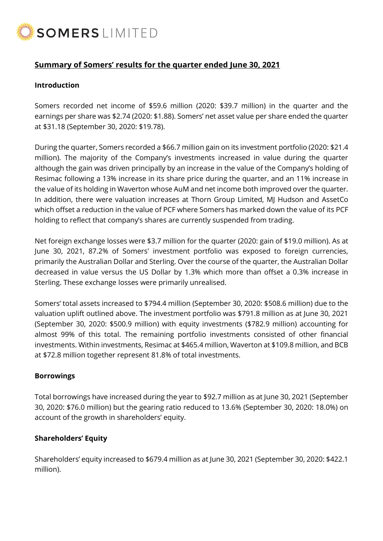

## **Summary of Somers' results for the quarter ended June 30, 2021**

## **Introduction**

Somers recorded net income of \$59.6 million (2020: \$39.7 million) in the quarter and the earnings per share was \$2.74 (2020: \$1.88). Somers' net asset value per share ended the quarter at \$31.18 (September 30, 2020: \$19.78).

During the quarter, Somers recorded a \$66.7 million gain on its investment portfolio (2020: \$21.4 million). The majority of the Company's investments increased in value during the quarter although the gain was driven principally by an increase in the value of the Company's holding of Resimac following a 13% increase in its share price during the quarter, and an 11% increase in the value of its holding in Waverton whose AuM and net income both improved over the quarter. In addition, there were valuation increases at Thorn Group Limited, MJ Hudson and AssetCo which offset a reduction in the value of PCF where Somers has marked down the value of its PCF holding to reflect that company's shares are currently suspended from trading.

Net foreign exchange losses were \$3.7 million for the quarter (2020: gain of \$19.0 million). As at June 30, 2021, 87.2% of Somers' investment portfolio was exposed to foreign currencies, primarily the Australian Dollar and Sterling. Over the course of the quarter, the Australian Dollar decreased in value versus the US Dollar by 1.3% which more than offset a 0.3% increase in Sterling. These exchange losses were primarily unrealised.

Somers' total assets increased to \$794.4 million (September 30, 2020: \$508.6 million) due to the valuation uplift outlined above. The investment portfolio was \$791.8 million as at June 30, 2021 (September 30, 2020: \$500.9 million) with equity investments (\$782.9 million) accounting for almost 99% of this total. The remaining portfolio investments consisted of other financial investments. Within investments, Resimac at \$465.4 million, Waverton at \$109.8 million, and BCB at \$72.8 million together represent 81.8% of total investments.

#### **Borrowings**

Total borrowings have increased during the year to \$92.7 million as at June 30, 2021 (September 30, 2020: \$76.0 million) but the gearing ratio reduced to 13.6% (September 30, 2020: 18.0%) on account of the growth in shareholders' equity.

## **Shareholders' Equity**

Shareholders' equity increased to \$679.4 million as at June 30, 2021 (September 30, 2020: \$422.1 million).